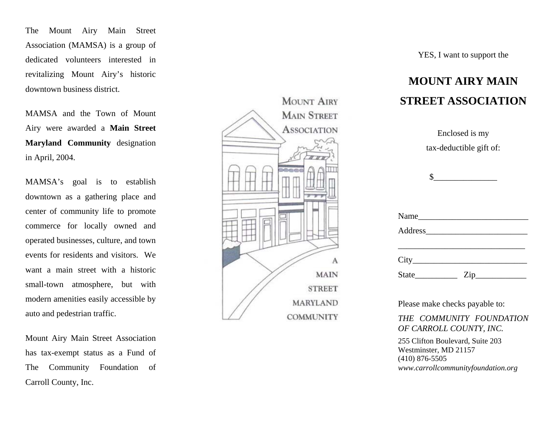The Mount Airy Main Street Association (MAMSA) is a group of dedicated volunteers interested in revitalizing Mount Airy's historic downtown business district.

MAMSA and the Town of Mount Airy were awarded a **Main Street Maryland Community** designation in April, 2004.

MAMSA's goal is to establish downtown as a gathering place and center of com munity life to promote com m erce for locally owned and operated businesses, culture, and town events for residents and visitors. Wewant a main street with a historic small-town atm osphere, but with modern amenities easily accessible by auto and pedestrian traffic.

Mount Airy Main Street Association has tax-exempt status as a Fund of The Community Foundation of Carroll County, Inc.



YES, I want to support the

## **MOUNT AIRY MAIN STREET ASSOCIATION**

| Enclosed is my                                                                           |  |
|------------------------------------------------------------------------------------------|--|
| tax-deductible gift of:                                                                  |  |
|                                                                                          |  |
| $\begin{array}{c c} \n\multicolumn{3}{c }{\textbf{\textcolor{red}{\bf S}}}\n\end{array}$ |  |
|                                                                                          |  |
|                                                                                          |  |
|                                                                                          |  |
|                                                                                          |  |
|                                                                                          |  |
| $\text{City}\_$                                                                          |  |
| $\overline{\mathrm{Zip}}$                                                                |  |

Please make checks payable to:

*THE COMMUNITY FOUNDATION OF CARROLL COUNTY, INC.*

255 Clifton Boulevard, Suite 203 Westminster, MD 21157 (410) 876-5505 *www.carrollcommunityfoundation.org*